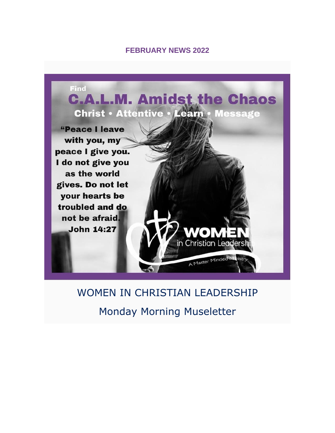#### **FEBRUARY NEWS 2022**



# WOMEN IN CHRISTIAN LEADERSHIP Monday Morning Museletter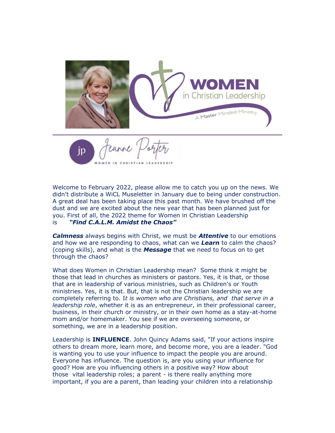

Welcome to February 2022, please allow me to catch you up on the news. We didn't distribute a WiCL Museletter in January due to being under construction. A great deal has been taking place this past month. We have brushed off the dust and we are excited about the new year that has been planned just for you. First of all, the 2022 theme for Women in Christian Leadership is *"Find C.A.L.M. Amidst the Chaos"*

*Calmness* always begins with Christ, we must be *Attentive* to our emotions and how we are responding to chaos, what can we *Learn* to calm the chaos? (coping skills), and what is the *Message* that we need to focus on to get through the chaos?

What does Women in Christian Leadership mean? Some think it might be those that lead in churches as ministers or pastors. Yes, it is that, or those that are in leadership of various ministries, such as Children's or Youth ministries. Yes, it is that. But, that is not the Christian leadership we are completely referring to. I*t is women who are Christians, and that serve in a leadership role*, whether it is as an entrepreneur, in their professional career, business, in their church or ministry, or in their own home as a stay-at-home mom and/or homemaker. You see if we are overseeing someone, or something, we are in a leadership position.

Leadership is **INFLUENCE**. John Quincy Adams said, "If your actions inspire others to dream more, learn more, and become more, you are a leader. "God is wanting you to use your influence to impact the people you are around. Everyone has influence. The question is, are you using your influence for good? How are you influencing others in a positive way? How about those vital leadership roles; a parent - is there really anything more important, if you are a parent, than leading your children into a relationship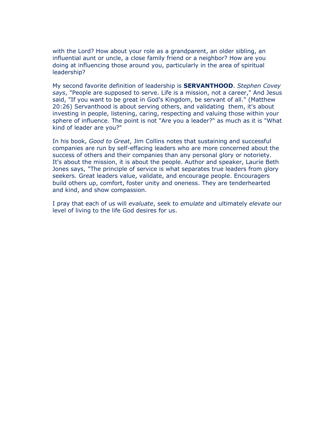with the Lord? How about your role as a grandparent, an older sibling, an influential aunt or uncle, a close family friend or a neighbor? How are you doing at influencing those around you, particularly in the area of spiritual leadership?

My second favorite definition of leadership is **SERVANTHOOD**. *Stephen Covey says*, "People are supposed to serve. Life is a mission, not a career," And Jesus said, "If you want to be great in God's Kingdom, be servant of all." (Matthew 20:26) Servanthood is about serving others, and validating them, it's about investing in people, listening, caring, respecting and valuing those within your sphere of influence. The point is not "Are you a leader?" as much as it is "What kind of leader are you?"

In his book, *Good to Great*, Jim Collins notes that sustaining and successful companies are run by self-effacing leaders who are more concerned about the success of others and their companies than any personal glory or notoriety. It's about the mission, it is about the people. Author and speaker, Laurie Beth Jones says, "The principle of service is what separates true leaders from glory seekers. Great leaders value, validate, and encourage people. Encouragers build others up, comfort, foster unity and oneness. They are tenderhearted and kind, and show compassion.

I pray that each of us will *evaluate*, seek to *emulate* and ultimately *elevate* our level of living to the life God desires for us.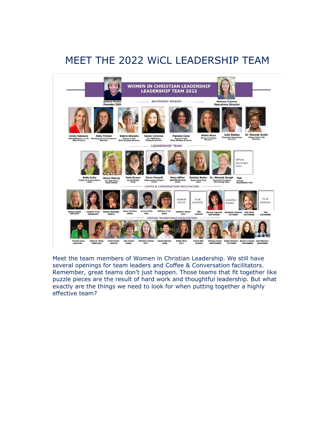# MEET THE 2022 WiCL LEADERSHIP TEAM



Meet the team members of Women in Christian Leadership. We still have several openings for team leaders and Coffee & Conversation facilitators. Remember, great teams don't just happen. Those teams that fit together like puzzle pieces are the result of hard work and thoughtful leadership. But what exactly are the things we need to look for when putting together a highly effective team?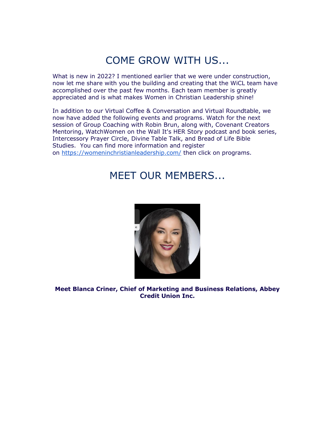## COME GROW WITH US...

What is new in 2022? I mentioned earlier that we were under construction, now let me share with you the building and creating that the WiCL team have accomplished over the past few months. Each team member is greatly appreciated and is what makes Women in Christian Leadership shine!

In addition to our Virtual Coffee & Conversation and Virtual Roundtable, we now have added the following events and programs. Watch for the next session of Group Coaching with Robin Brun, along with, Covenant Creators Mentoring, WatchWomen on the Wall It's HER Story podcast and book series, Intercessory Prayer Circle, Divine Table Talk, and Bread of Life Bible Studies. You can find more information and register on [https://womeninchristianleadership.com/](https://www.womeninchristianleadership.com/EmailTracker/LinkTracker.ashx?linkAndRecipientCode=HtRuT2ubQJJwU9cUGH8cZopZtLtM3EWoxAzI5hqX8Z2khoEbeJSUicc%2fd8b5SM6iN%2bB4NpyPuQtaduEBv8%2bmYICB7bW%2fM05p%2bnje2i0L%2f5I%3d) then click on programs.

### MEET OUR MEMBERS...



**Meet Blanca Criner, Chief of Marketing and Business Relations, Abbey Credit Union Inc.**